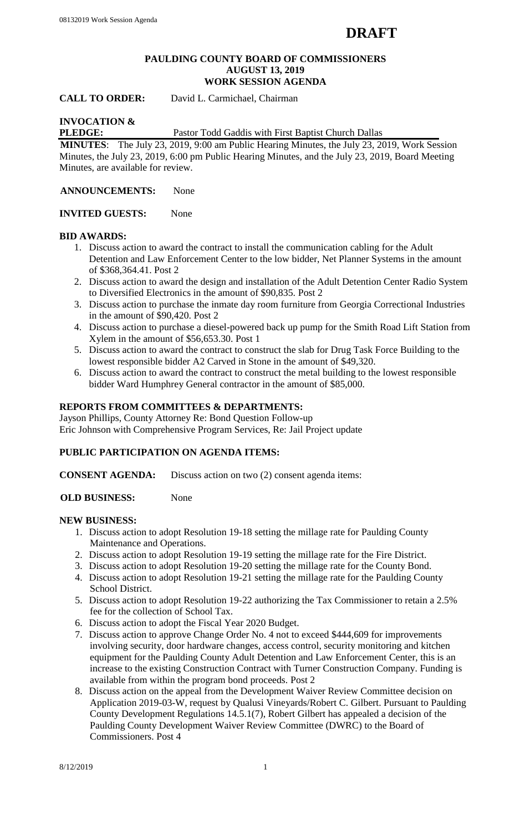#### **PAULDING COUNTY BOARD OF COMMISSIONERS AUGUST 13, 2019 WORK SESSION AGENDA**

**CALL TO ORDER:** David L. Carmichael, Chairman

# **INVOCATION &**

**PLEDGE:** Pastor Todd Gaddis with First Baptist Church Dallas

**MINUTES**: The July 23, 2019, 9:00 am Public Hearing Minutes, the July 23, 2019, Work Session Minutes, the July 23, 2019, 6:00 pm Public Hearing Minutes, and the July 23, 2019, Board Meeting Minutes, are available for review.

**ANNOUNCEMENTS:** None

**INVITED GUESTS:** None

#### **BID AWARDS:**

- 1. Discuss action to award the contract to install the communication cabling for the Adult Detention and Law Enforcement Center to the low bidder, Net Planner Systems in the amount of \$368,364.41. Post 2
- 2. Discuss action to award the design and installation of the Adult Detention Center Radio System to Diversified Electronics in the amount of \$90,835. Post 2
- 3. Discuss action to purchase the inmate day room furniture from Georgia Correctional Industries in the amount of \$90,420. Post 2
- 4. Discuss action to purchase a diesel-powered back up pump for the Smith Road Lift Station from Xylem in the amount of \$56,653.30. Post 1
- 5. Discuss action to award the contract to construct the slab for Drug Task Force Building to the lowest responsible bidder A2 Carved in Stone in the amount of \$49,320.
- 6. Discuss action to award the contract to construct the metal building to the lowest responsible bidder Ward Humphrey General contractor in the amount of \$85,000.

# **REPORTS FROM COMMITTEES & DEPARTMENTS:**

Jayson Phillips, County Attorney Re: Bond Question Follow-up Eric Johnson with Comprehensive Program Services, Re: Jail Project update

#### **PUBLIC PARTICIPATION ON AGENDA ITEMS:**

**CONSENT AGENDA:** Discuss action on two (2) consent agenda items:

**OLD BUSINESS:** None

#### **NEW BUSINESS:**

- 1. Discuss action to adopt Resolution 19-18 setting the millage rate for Paulding County Maintenance and Operations.
- 2. Discuss action to adopt Resolution 19-19 setting the millage rate for the Fire District.
- 3. Discuss action to adopt Resolution 19-20 setting the millage rate for the County Bond.
- 4. Discuss action to adopt Resolution 19-21 setting the millage rate for the Paulding County School District.
- 5. Discuss action to adopt Resolution 19-22 authorizing the Tax Commissioner to retain a 2.5% fee for the collection of School Tax.
- 6. Discuss action to adopt the Fiscal Year 2020 Budget.
- 7. Discuss action to approve Change Order No. 4 not to exceed \$444,609 for improvements involving security, door hardware changes, access control, security monitoring and kitchen equipment for the Paulding County Adult Detention and Law Enforcement Center, this is an increase to the existing Construction Contract with Turner Construction Company. Funding is available from within the program bond proceeds. Post 2
- 8. Discuss action on the appeal from the Development Waiver Review Committee decision on Application 2019-03-W, request by Qualusi Vineyards/Robert C. Gilbert. Pursuant to Paulding County Development Regulations 14.5.1(7), Robert Gilbert has appealed a decision of the Paulding County Development Waiver Review Committee (DWRC) to the Board of Commissioners. Post 4